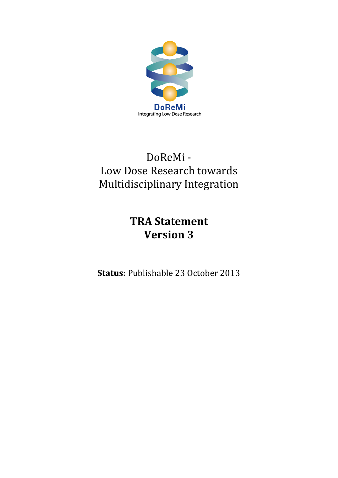

# DoReMi - Low Dose Research towards Multidisciplinary Integration

# **TRA Statement Version 3**

**Status:** Publishable 23 October 2013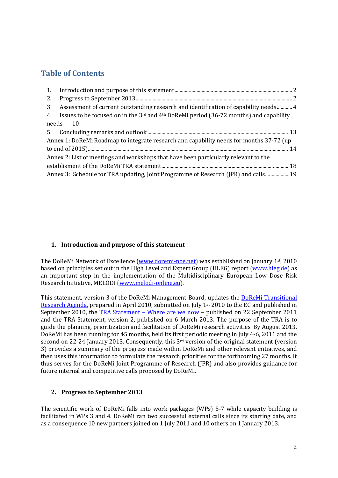# **Table of Contents**

| 2.                                                                                      |                                                                                                                   |  |  |  |  |  |
|-----------------------------------------------------------------------------------------|-------------------------------------------------------------------------------------------------------------------|--|--|--|--|--|
| 3.                                                                                      | Assessment of current outstanding research and identification of capability needs 4                               |  |  |  |  |  |
|                                                                                         | 4. Issues to be focused on in the 3 <sup>rd</sup> and 4 <sup>th</sup> DoReMi period (36-72 months) and capability |  |  |  |  |  |
| needs 10                                                                                |                                                                                                                   |  |  |  |  |  |
|                                                                                         |                                                                                                                   |  |  |  |  |  |
| Annex 1: DoReMi Roadmap to integrate research and capability needs for months 37-72 (up |                                                                                                                   |  |  |  |  |  |
|                                                                                         |                                                                                                                   |  |  |  |  |  |
| Annex 2: List of meetings and workshops that have been particularly relevant to the     |                                                                                                                   |  |  |  |  |  |
|                                                                                         |                                                                                                                   |  |  |  |  |  |
| Annex 3: Schedule for TRA updating, Joint Programme of Research (JPR) and calls 19      |                                                                                                                   |  |  |  |  |  |

## <span id="page-1-0"></span>**1. Introduction and purpose of this statement**

The DoReMi Network of Excellence (www.doremi-noe.net) was established on January 1st, 2010 based on principles set out in the High Level and Expert Group (HLEG) report [\(www.hleg.de\)](http://www.hleg.de/) as an important step in the implementation of the Multidisciplinary European Low Dose Risk Research Initiative, MELODI [\(www.melodi-online.eu\)](http://www.melodi-online.eu/).

This statement, version 3 of the DoReMi Management Board, updates the [DoReMi Transitional](http://www.doremi-noe.net/pdf/doremi_TRA/DoReMi_TRA_publishable_2010-09-20.pdf)  [Research Agenda,](http://www.doremi-noe.net/pdf/doremi_TRA/DoReMi_TRA_publishable_2010-09-20.pdf) prepared in April 2010, submitted on July 1<sup>st</sup> 2010 to the EC and published in September 2010, the TRA Statement – [Where are we now](http://www.doremi-noe.net/pdf/doremi_TRA/DoReMi_TRA_Statement_Final_2011-09-22.pdf) – published on 22 September 2011 and the TRA Statement, version 2, published on 6 March 2013. The purpose of the TRA is to guide the planning, prioritization and facilitation of DoReMi research activities. By August 2013, DoReMi has been running for 45 months, held its first periodic meeting in July 4-6, 2011 and the second on 22-24 January 2013. Consequently, this 3<sup>rd</sup> version of the original statement (version 3) provides a summary of the progress made within DoReMi and other relevant initiatives, and then uses this information to formulate the research priorities for the forthcoming 27 months. It thus serves for the DoReMi Joint Programme of Research (JPR) and also provides guidance for future internal and competitive calls proposed by DoReMi.

#### <span id="page-1-1"></span>**2. Progress to September 2013**

The scientific work of DoReMi falls into work packages (WPs) 5-7 while capacity building is facilitated in WPs 3 and 4. DoReMi ran two successful external calls since its starting date, and as a consequence 10 new partners joined on 1 July 2011 and 10 others on 1 January 2013.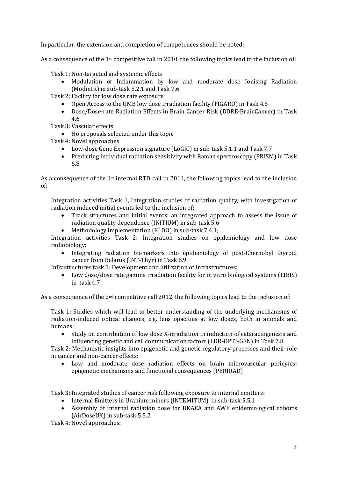In particular, the extension and completion of competences should be noted:

As a consequence of the 1st competitive call in 2010, the following topics lead to the inclusion of:

Task 1: Non-targeted and systemic effects

- Modulation of Inflammation by low and moderate dose Ionising Radiation (ModinIR) in sub-task 5.2.1 and Task 7.6
- Task 2: Facility for low dose rate exposure
	- Open Access to the UMB low dose irradiation facility (FIGARO) in Task 4.5<br>• Dose/Dose-rate Radiation Effects in Brain Cancer Risk (DDRE-BrainCance
	- Dose/Dose-rate Radiation Effects in Brain Cancer Risk (DDRE-BrainCancer) in Task 4.6
- Task 3: Vascular effects
	- No proposals selected under this topic
- Task 4: Novel approaches
	- Low-dose Gene Expression signature (LoGIC) in sub-task 5.1.1 and Task 7.7
	- Predicting individual radiation sensitivity with Raman spectroscopy (PRISM) in Task 6.8

As a consequence of the 1<sup>st</sup> internal RTD call in 2011, the following topics lead to the inclusion of:

Integration activities Task 1, Integration studies of radiation quality, with investigation of radiation induced initial events led to the inclusion of:

- Track structures and initial events: an integrated approach to assess the issue of radiation quality dependence (INITIUM) in sub-task 5.6
- Methodology implementation (ELDO) in sub-task 7.4.1;

Integration activities Task 2: Integration studies on epidemiology and low dose radiobiology:

• Integrating radiation biomarkers into epidemiology of post-Chernobyl thyroid cancer from Belarus (INT-Thyr) in Task 6.9

Infrastructures task 3: Development and utilization of Infrastructures:

• Low dose/dose rate gamma irradiation facility for in vitro biological systems (LIBIS) in task 4.7

As a consequence of the 2<sup>nd</sup> competitive call 2012, the following topics lead to the inclusion of:

Task 1: Studies which will lead to better understanding of the underlying mechanisms of radiation-induced optical changes, e.g. lens opacities at low doses, both in animals and humans:

• Study on contribution of low dose X-irradiation in induction of cataractogenesis and influencing genetic and cell communication factors (LDR-OPTI-GEN) in Task 7.8

Task 2: Mechanistic insights into epigenetic and genetic regulatory processes and their role in cancer and non-cancer effects:

Low and moderate dose radiation effects on brain microvascular pericytes: epigenetic mechanisms and functional consequences (PERIRAD)

Task 3: Integrated studies of cancer risk following exposure to internal emitters:

- Internal Emitters in Uranium miners (INTEMITUM) in sub-task 5.5.1
- Assembly of internal radiation dose for UKAEA and AWE epidemiological cohorts (AirDoseUK) in sub-task 5.5.2

Task 4: Novel approaches: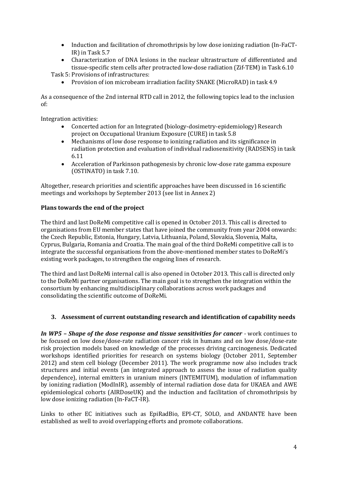- Induction and facilitation of chromothripsis by low dose ionizing radiation (In-FaCT-IR) in Task 5.7
- Characterization of DNA lesions in the nuclear ultrastructure of differentiated and tissue-specific stem cells after protracted low-dose radiation (Zif-TEM) in Task 6.10

Task 5: Provisions of infrastructures:

• Provision of ion microbeam irradiation facility SNAKE (MicroRAD) in task 4.9

As a consequence of the 2nd internal RTD call in 2012, the following topics lead to the inclusion of:

Integration activities:<br>• Concerted

- Concerted action for an Integrated (biology-dosimetry-epidemiology) Research project on Occupational Uranium Exposure (CURE) in task 5.8
- Mechanisms of low dose response to ionizing radiation and its significance in radiation protection and evaluation of individual radiosensitivity (RADSENS) in task 6.11
- Acceleration of Parkinson pathogenesis by chronic low-dose rate gamma exposure (OSTINATO) in task 7.10.

Altogether, research priorities and scientific approaches have been discussed in 16 scientific meetings and workshops by September 2013 (see list in Annex 2)

### **Plans towards the end of the project**

The third and last DoReMi competitive call is opened in October 2013. This call is directed to organisations from EU member states that have joined the community from year 2004 onwards: the Czech Republic, Estonia, Hungary, Latvia, Lithuania, Poland, Slovakia, Slovenia, Malta, Cyprus, Bulgaria, Romania and Croatia. The main goal of the third DoReMi competitive call is to integrate the successful organisations from the above-mentioned member states to DoReMi's existing work packages, to strengthen the ongoing lines of research.

The third and last DoReMi internal call is also opened in October 2013. This call is directed only to the DoReMi partner organisations. The main goal is to strengthen the integration within the consortium by enhancing multidisciplinary collaborations across work packages and consolidating the scientific outcome of DoReMi.

## <span id="page-3-0"></span>**3. Assessment of current outstanding research and identification of capability needs**

*In WP5 – Shape of the dose response and tissue sensitivities for cancer -* work continues to be focused on low dose/dose-rate radiation cancer risk in humans and on low dose/dose-rate risk projection models based on knowledge of the processes driving carcinogenesis. Dedicated workshops identified priorities for research on systems biology (October 2011, September 2012) and stem cell biology (December 2011). The work programme now also includes track structures and initial events (an integrated approach to assess the issue of radiation quality dependence), internal emitters in uranium miners (INTEMITUM), modulation of inflammation by ionizing radiation (ModInIR), assembly of internal radiation dose data for UKAEA and AWE epidemiological cohorts (AIRDoseUK) and the induction and facilitation of chromothripsis by low dose ionizing radiation (In-FaCT-IR).

Links to other EC initiatives such as EpiRadBio, EPI-CT, SOLO, and ANDANTE have been established as well to avoid overlapping efforts and promote collaborations.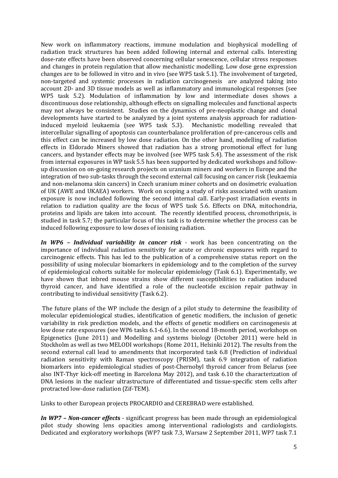New work on inflammatory reactions, immune modulation and biophysical modelling of radiation track structures has been added following internal and external calls. Interesting dose-rate effects have been observed concerning cellular senescence, cellular stress responses and changes in protein regulation that allow mechanistic modelling. Low dose gene expression changes are to be followed in vitro and in vivo (see WP5 task 5.1). The involvement of targeted, non-targeted and systemic processes in radiation carcinogenesis are analyzed taking into account 2D- and 3D tissue models as well as inflammatory and immunological responses (see WP5 task 5.2). Modulation of inflammation by low and intermediate doses shows a discontinuous dose relationship, although effects on signalling molecules and functional aspects may not always be consistent. Studies on the dynamics of pre-neoplastic change and clonal developments have started to be analyzed by a joint systems analysis approach for radiation-<br>induced myeloid leukaemia (see WP5 task 5.3). Mechanistic modelling revealed that induced myeloid leukaemia (see WP5 task 5.3). intercellular signalling of apoptosis can counterbalance proliferation of pre-cancerous cells and this effect can be increased by low dose radiation. On the other hand, modelling of radiation effects in Eldorado Miners showed that radiation has a strong promotional effect for lung cancers, and bystander effects may be involved (see WP5 task 5.4). The assessment of the risk from internal exposures in WP task 5.5 has been supported by dedicated workshops and followup discussion on on-going research projects on uranium miners and workers in Europe and the integration of two sub-tasks through the second external call focusing on cancer risk (leukaemia and non-melanoma skin cancers) in Czech uranium miner cohorts and on dosimetric evaluation of UK (AWE and UKAEA) workers. Work on scoping a study of risks associated with uranium exposure is now included following the second internal call. Early-post irradiation events in relation to radiation quality are the focus of WP5 task 5.6. Effects on DNA, mitochondria, proteins and lipids are taken into account. The recently identified process, chromothripsis, is studied in task 5.7; the particular focus of this task is to determine whether the process can be induced following exposure to low doses of ionising radiation.

*In WP6 – Individual variability in cancer risk -* work has been concentrating on the importance of individual radiation sensitivity for acute or chronic exposures with regard to carcinogenic effects. This has led to the publication of a comprehensive status report on the possibility of using molecular biomarkers in epidemiology and to the completion of the survey of epidemiological cohorts suitable for molecular epidemiology (Task 6.1). Experimentally, we have shown that inbred mouse strains show different susceptibilities to radiation induced thyroid cancer, and have identified a role of the nucleotide excision repair pathway in contributing to individual sensitivity (Task 6.2).

The future plans of the WP include the design of a pilot study to determine the feasibility of molecular epidemiological studies, identification of genetic modifiers, the inclusion of genetic variability in risk prediction models, and the effects of genetic modifiers on carcinogenesis at low dose rate exposures (see WP6 tasks 6.1-6.6). In the second 18-month period, workshops on Epigenetics (June 2011) and Modelling and systems biology (October 2011) were held in Stockholm as well as two MELODI workshops (Rome 2011, Helsinki 2012). The results from the second external call lead to amendments that incorporated task 6.8 (Prediction of individual radiation sensitivity with Raman spectroscopy (PRISM), task 6.9 integration of radiation biomarkers into epidemiological studies of post-Chernobyl thyroid cancer from Belarus (see also INT-Thyr kick-off meeting in Barcelona May 2012), and task 6.10 the characterization of DNA lesions in the nuclear ultrastructure of differentiated and tissue-specific stem cells after protracted low-dose radiation (Zif-TEM).

Links to other European projects PROCARDIO and CEREBRAD were established.

*In WP7 – Non-cancer effect***s** - significant progress has been made through an epidemiological pilot study showing lens opacities among interventional radiologists and cardiologists. Dedicated and exploratory workshops (WP7 task 7.3, Warsaw 2 September 2011, WP7 task 7.1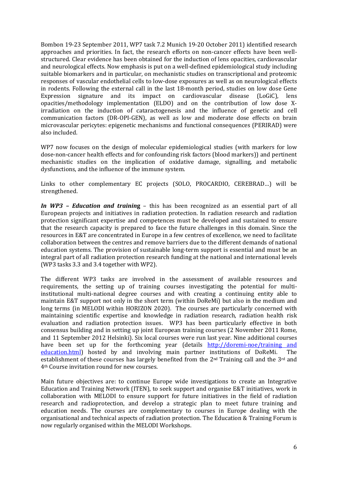Bombon 19-23 September 2011, WP7 task 7.2 Munich 19-20 October 2011) identified research approaches and priorities. In fact, the research efforts on non-cancer effects have been wellstructured. Clear evidence has been obtained for the induction of lens opacities, cardiovascular and neurological effects. Now emphasis is put on a well-defined epidemiological study including suitable biomarkers and in particular, on mechanistic studies on transcriptional and proteomic responses of vascular endothelial cells to low-dose exposures as well as on neurological effects in rodents. Following the external call in the last 18-month period, studies on low dose Gene<br>Expression signature and its impact on cardiovascular disease (LoGiC). lens Expression signature and its impact on cardiovascular opacities/methodology implementation (ELDO) and on the contribution of low dose Xirradiation on the induction of cataractogenesis and the influence of genetic and cell communication factors (DR-OPI-GEN), as well as low and moderate dose effects on brain microvascular pericytes: epigenetic mechanisms and functional consequences (PERIRAD) were also included.

WP7 now focuses on the design of molecular epidemiological studies (with markers for low dose-non-cancer health effects and for confounding risk factors (blood markers)) and pertinent mechanistic studies on the implication of oxidative damage, signalling, and metabolic dysfunctions, and the influence of the immune system.

Links to other complementary EC projects (SOLO, PROCARDIO, CEREBRAD…) will be strengthened.

*In WP3 – Education and trainin***g** – this has been recognized as an essential part of all European projects and initiatives in radiation protection. In radiation research and radiation protection significant expertise and competences must be developed and sustained to ensure that the research capacity is prepared to face the future challenges in this domain. Since the resources in E&T are concentrated in Europe in a few centres of excellence, we need to facilitate collaboration between the centres and remove barriers due to the different demands of national education systems. The provision of sustainable long-term support is essential and must be an integral part of all radiation protection research funding at the national and international levels (WP3 tasks 3.3 and 3.4 together with WP2).

The different WP3 tasks are involved in the assessment of available resources and requirements, the setting up of training courses investigating the potential for multiinstitutional multi-national degree courses and with creating a continuing entity able to maintain E&T support not only in the short term (within DoReMi) but also in the medium and long terms (in MELODI within HORIZON 2020). The courses are particularly concerned with maintaining scientific expertise and knowledge in radiation research, radiation health risk evaluation and radiation protection issues. WP3 has been particularly effective in both consensus building and in setting up joint European training courses (2 November 2011 Rome, and 11 September 2012 Helsinki). Six local courses were run last year. Nine additional courses have been set up for the forthcoming year (details [http://doremi-noe/training and](http://doremi-noe/training%20and%20education.html) education.html) hosted by and involving main partner institutions of DoReMi. The [education.html\)](http://doremi-noe/training%20and%20education.html) hosted by and involving main partner institutions of DoReMi. establishment of these courses has largely benefited from the 2nd Training call and the 3rd and 4th Course invitation round for new courses.

Main future objectives are: to continue Europe wide investigations to create an Integrative Education and Training Network (ITEN), to seek support and organise E&T initiatives, work in collaboration with MELODI to ensure support for future initiatives in the field of radiation research and radioprotection, and develop a strategic plan to meet future training and education needs. The courses are complementary to courses in Europe dealing with the organisational and technical aspects of radiation protection. The Education & Training Forum is now regularly organised within the MELODI Workshops.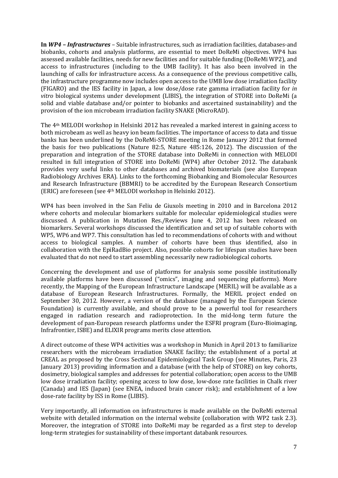**In** *WP4 – Infrastructures –* Suitable infrastructures, such as irradiation facilities, databases-and biobanks, cohorts and analysis platforms, are essential to meet DoReMi objectives. WP4 has assessed available facilities, needs for new facilities and for suitable funding (DoReMi WP2), and access to infrastructures (including to the UMB facility). It has also been involved in the launching of calls for infrastructure access. As a consequence of the previous competitive calls, the infrastructure programme now includes open access to the UMB low dose irradiation facility (FIGARO) and the IES facility in Japan, a low dose/dose rate gamma irradiation facility for *in vitro* biological systems under development (LIBIS), the integration of STORE into DoReMi (a solid and viable database and/or pointer to biobanks and ascertained sustainability) and the provision of the ion microbeam irradiation facility SNAKE (MicroRAD).

The 4th MELODI workshop in Helsinki 2012 has revealed a marked interest in gaining access to both microbeam as well as heavy ion beam facilities. The importance of access to data and tissue banks has been underlined by the DoReMi-STORE meeting in Rome January 2012 that formed the basis for two publications (Nature 82:5, Nature 485:126, 2012). The discussion of the preparation and integration of the STORE database into DoReMi in connection with MELODI resulted in full integration of STORE into DoReMi (WP4) after October 2012. The databank provides very useful links to other databases and archived biomaterials (see also European Radiobiology Archives ERA). Links to the forthcoming Biobanking and Biomolecular Resources and Research Infrastructure (BBMRI) to be accredited by the European Research Consortium (ERIC) are foreseen (see 4th MELODI workshop in Helsinki 2012).

WP4 has been involved in the San Feliu de Giuxols meeting in 2010 and in Barcelona 2012 where cohorts and molecular biomarkers suitable for molecular epidemiological studies were discussed. A publication in Mutation Res./Reviews June 4, 2012 has been released on biomarkers. Several workshops discussed the identification and set up of suitable cohorts with WP5, WP6 and WP7. This consultation has led to recommendations of cohorts with and without access to biological samples. A number of cohorts have been thus identified, also in collaboration with the EpiRadBio project. Also, possible cohorts for lifespan studies have been evaluated that do not need to start assembling necessarily new radiobiological cohorts.

Concerning the development and use of platforms for analysis some possible institutionally available platforms have been discussed ("omics", imaging and sequencing platforms). More recently, the Mapping of the European Infrastructure Landscape (MERIL) will be available as a database of European Research Infrastructures. Formally, the MERIL project ended on September 30, 2012. However, a version of the database (managed by the European Science Foundation) is currently available, and should prove to be a powerful tool for researchers engaged in radiation research and radioprotection. In the mid-long term future the development of pan-European research platforms under the ESFRI program (Euro-Bioimaging, Infrafrontier, ISBE) and ELIXIR programs merits close attention.

A direct outcome of these WP4 activities was a workshop in Munich in April 2013 to familiarize researchers with the microbeam irradiation SNAKE facility; the establishment of a portal at CREAL as proposed by the Cross Sectional Epidemiological Task Group (see Minutes, Paris, 23 January 2013) providing information and a database (with the help of STORE) on key cohorts, dosimetry, biological samples and addresses for potential collaboration; open access to the UMB low dose irradiation facility; opening access to low dose, low-dose rate facilities in Chalk river (Canada) and IES (Japan) (see ENEA, induced brain cancer risk); and establishment of a low dose-rate facility by ISS in Rome (LIBIS).

Very importantly, all information on infrastructures is made available on the DoReMi external website with detailed information on the internal website (collaboration with WP2 task 2.3). Moreover, the integration of STORE into DoReMi may be regarded as a first step to develop long-term strategies for sustainability of these important databank resources.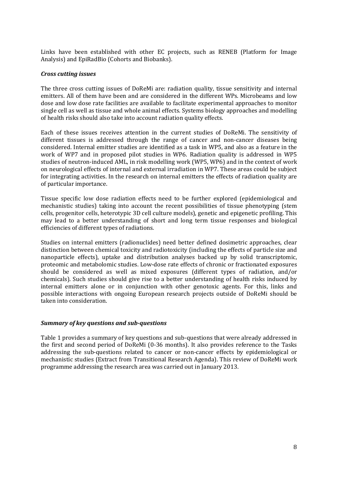Links have been established with other EC projects, such as RENEB (Platform for Image Analysis) and EpiRadBio (Cohorts and Biobanks).

#### *Cross cutting issues*

The three cross cutting issues of DoReMi are: radiation quality, tissue sensitivity and internal emitters. All of them have been and are considered in the different WPs. Microbeams and low dose and low dose rate facilities are available to facilitate experimental approaches to monitor single cell as well as tissue and whole animal effects. Systems biology approaches and modelling of health risks should also take into account radiation quality effects.

Each of these issues receives attention in the current studies of DoReMi. The sensitivity of different tissues is addressed through the range of cancer and non-cancer diseases being considered. Internal emitter studies are identified as a task in WP5, and also as a feature in the work of WP7 and in proposed pilot studies in WP6. Radiation quality is addressed in WP5 studies of neutron-induced AML, in risk modelling work (WP5, WP6) and in the context of work on neurological effects of internal and external irradiation in WP7. These areas could be subject for integrating activities. In the research on internal emitters the effects of radiation quality are of particular importance.

Tissue specific low dose radiation effects need to be further explored (epidemiological and mechanistic studies) taking into account the recent possibilities of tissue phenotyping (stem cells, progenitor cells, heterotypic 3D cell culture models), genetic and epigenetic profiling. This may lead to a better understanding of short and long term tissue responses and biological efficiencies of different types of radiations.

Studies on internal emitters (radionuclides) need better defined dosimetric approaches, clear distinction between chemical toxicity and radiotoxicity (including the effects of particle size and nanoparticle effects), uptake and distribution analyses backed up by solid transcriptomic, proteomic and metabolomic studies. Low-dose rate effects of chronic or fractionated exposures should be considered as well as mixed exposures (different types of radiation, and/or chemicals). Such studies should give rise to a better understanding of health risks induced by internal emitters alone or in conjunction with other genotoxic agents. For this, links and possible interactions with ongoing European research projects outside of DoReMi should be taken into consideration.

#### *Summary of key questions and sub-questions*

Table 1 provides a summary of key questions and sub-questions that were already addressed in the first and second period of DoReMi (0-36 months). It also provides reference to the Tasks addressing the sub-questions related to cancer or non-cancer effects by epidemiological or mechanistic studies (Extract from Transitional Research Agenda). This review of DoReMi work programme addressing the research area was carried out in January 2013.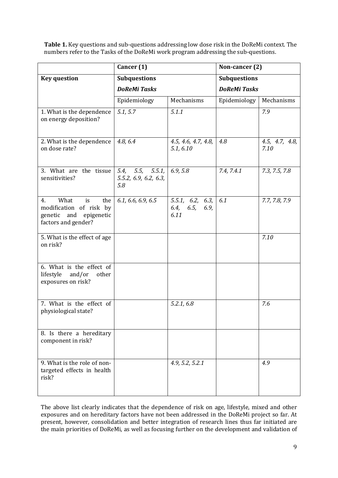**Table 1.** Key questions and sub-questions addressing low dose risk in the DoReMi context. The numbers refer to the Tasks of the DoReMi work program addressing the sub-questions.

| Cancer (1)                                                                                             |                                                     |                                            | Non-cancer (2)      |                        |  |
|--------------------------------------------------------------------------------------------------------|-----------------------------------------------------|--------------------------------------------|---------------------|------------------------|--|
| <b>Key question</b>                                                                                    | <b>Subquestions</b><br><b>DoReMi Tasks</b>          |                                            | <b>Subquestions</b> |                        |  |
|                                                                                                        |                                                     |                                            | <b>DoReMi Tasks</b> |                        |  |
|                                                                                                        | Epidemiology                                        | Mechanisms                                 | Epidemiology        | Mechanisms             |  |
| 1. What is the dependence<br>on energy deposition?                                                     | 5.1, 5.7                                            | 5.1.1                                      |                     | 7.9                    |  |
| 2. What is the dependence<br>on dose rate?                                                             | 4.8, 6.4                                            | 4.5, 4.6, 4.7, 4.8,<br>5.1, 6.10           | 4.8                 | 4.5, 4.7, 4.8,<br>7.10 |  |
| 3. What are the tissue<br>sensitivities?                                                               | 5.5, 5.5.1,<br>5.4,<br>5.5.2, 6.9, 6.2, 6.3,<br>5.8 | 6.9, 5.8                                   | 7.4, 7.4.1          | 7.3, 7.5, 7.8          |  |
| 4.<br>What<br>is<br>the<br>modification of risk by<br>genetic and<br>epigenetic<br>factors and gender? | 6.1, 6.6, 6.9, 6.5                                  | 5.5.1, 6.2, 6.3,<br>6.4, 6.5, 6.9,<br>6.11 | 6.1                 | 7.7, 7.8, 7.9          |  |
| 5. What is the effect of age<br>on risk?                                                               |                                                     |                                            |                     | 7.10                   |  |
| 6. What is the effect of<br>and/or<br>other<br>lifestyle<br>exposures on risk?                         |                                                     |                                            |                     |                        |  |
| 7. What is the effect of<br>physiological state?                                                       |                                                     | 5.2.1, 6.8                                 |                     | 7.6                    |  |
| 8. Is there a hereditary<br>component in risk?                                                         |                                                     |                                            |                     |                        |  |
| 9. What is the role of non-<br>targeted effects in health<br>risk?                                     |                                                     | 4.9, 5.2, 5.2.1                            |                     | 4.9                    |  |

The above list clearly indicates that the dependence of risk on age, lifestyle, mixed and other exposures and on hereditary factors have not been addressed in the DoReMi project so far. At present, however, consolidation and better integration of research lines thus far initiated are the main priorities of DoReMi, as well as focusing further on the development and validation of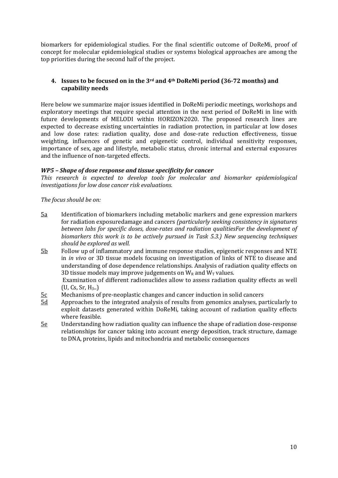biomarkers for epidemiological studies. For the final scientific outcome of DoReMi, proof of concept for molecular epidemiological studies or systems biological approaches are among the top priorities during the second half of the project.

#### <span id="page-9-0"></span>**4. Issues to be focused on in the 3rd and 4th DoReMi period (36-72 months) and capability needs**

Here below we summarize major issues identified in DoReMi periodic meetings, workshops and exploratory meetings that require special attention in the next period of DoReMi in line with future developments of MELODI within HORIZON2020. The proposed research lines are expected to decrease existing uncertainties in radiation protection, in particular at low doses and low dose rates: radiation quality, dose and dose-rate reduction effectiveness, tissue weighting, influences of genetic and epigenetic control, individual sensitivity responses, importance of sex, age and lifestyle, metabolic status, chronic internal and external exposures and the influence of non-targeted effects.

#### *WP5 – Shape of dose response and tissue specificity for cancer*

*This research is expected to develop tools for molecular and biomarker epidemiological investigations for low dose cancer risk evaluations.*

*The focus should be on:*

- $5a$ Identification of biomarkers including metabolic markers and gene expression markers for radiation exposuredamage and cancers *(particularly seeking consistency in signatures between labs for specific doses, dose-rates and radiation qualitiesFor the development of biomarkers this work is to be actively pursued in Task 5.3.) New sequencing techniques should be explored as well.*
- 5b Follow up of inflammatory and immune response studies, epigenetic responses and NTE in *in vivo* or 3D tissue models focusing on investigation of links of NTE to disease and understanding of dose dependence relationships. Analysis of radiation quality effects on 3D tissue models may improve judgements on  $W_R$  and  $W_T$  values.

Examination of different radionuclides allow to assess radiation quality effects as well  $(U, Cs, Sr, H<sub>3</sub>)$ 

- $\frac{5c}{5d}$  Mechanisms of pre-neoplastic changes and cancer induction in solid cancers 5d Approaches to the integrated analysis of results from genomics analyses, pa
- 5d Approaches to the integrated analysis of results from genomics analyses, particularly to exploit datasets generated within DoReMi, taking account of radiation quality effects where feasible.
- 5e Understanding how radiation quality can influence the shape of radiation dose-response relationships for cancer taking into account energy deposition, track structure, damage to DNA, proteins, lipids and mitochondria and metabolic consequences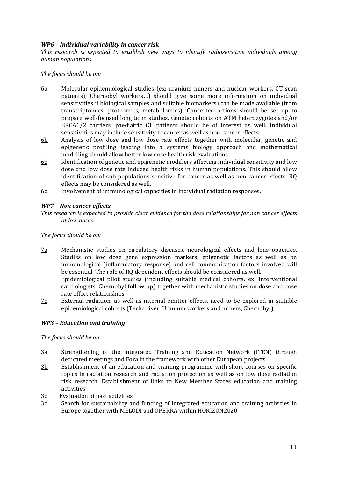#### *WP6 – Individual variability in cancer risk*

*This research is expected to establish new ways to identify radiosensitive individuals among human populations.*

#### *The focus should be on:*

- 6a Molecular epidemiological studies (ex: uranium miners and nuclear workers, CT scan patients), Chernobyl workers…) should give some more information on individual sensitivities if biological samples and suitable biomarkers) can be made available (from transcriptomics, proteomics, metabolomics). Concerted actions should be set up to prepare well-focused long term studies. Genetic cohorts on ATM heterozygotes and/or BRCA1/2 carriers, paediatric CT patients should be of interest as well. Individual sensitivities may include sensitivity to cancer as well as non-cancer effects.
- 6b Analysis of low dose and low dose rate effects together with molecular, genetic and epigenetic profiling feeding into a systems biology approach and mathematical modelling should allow better low dose health risk evaluations.
- $6c$  Identification of genetic and epigenetic modifiers affecting individual sensitivity and low dose and low dose rate induced health risks in human populations. This should allow identification of sub-populations sensitive for cancer as well as non cancer effects. RQ effects may be considered as well.
- 6d Involvement of immunological capacities in individual radiation responses.

#### *WP7 – Non cancer effects*

*This research is expected to provide clear evidence for the dose relationships for non cancer effects at low doses.*

#### *The focus should be on:*

- 7a Mechanistic studies on circulatory diseases, neurological effects and lens opacities. Studies on low dose gene expression markers, epigenetic factors as well as on immunological (inflammatory response) and cell communication factors involved will be essential. The role of RQ dependent effects should be considered as well. Epidemiological pilot studies (including suitable medical cohorts, ex: interventional cardiologists, Chernobyl follow up) together with mechanistic studies on dose and dose rate effect relationships
- $7c$  External radiation, as well as internal emitter effects, need to be explored in suitable epidemiological cohorts (Techa river, Uranium workers and miners, Chernobyl)

#### *WP3 – Education and training*

#### *The focus should be on*

- 3a Strengthening of the Integrated Training and Education Network (ITEN) through dedicated meetings and Fora in the framework with other European projects.
- 3b Establishment of an education and training programme with short courses on specific topics in radiation research and radiation protection as well as on low dose radiation risk research. Establishment of links to New Member States education and training activities.
- $\frac{3c}{3d}$  Evaluation of past activities<br>3d Search for sustainability are
- Search for sustainability and funding of integrated education and training activities in Europe together with MELODI and OPERRA within HORIZON2020.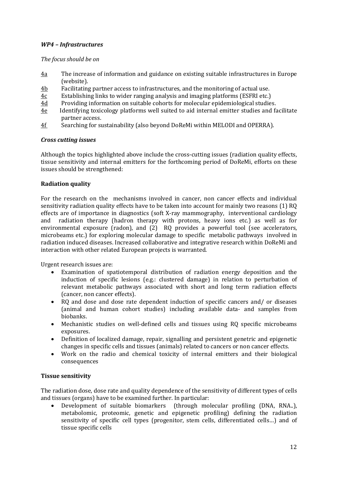### *WP4 – Infrastructures*

#### *The focus should be on*

- 4a The increase of information and guidance on existing suitable infrastructures in Europe (website).
- $\frac{4b}{4c}$  Facilitating partner access to infrastructures, and the monitoring of actual use.<br> $\frac{4c}{4c}$  Establishing links to wider ranging analysis and imaging platforms (ESFRI etc.)
- $\frac{4c}{4d}$  Establishing links to wider ranging analysis and imaging platforms (ESFRI etc.)<br>4d Providing information on suitable cohorts for molecular epidemiological studie
- 4d Providing information on suitable cohorts for molecular epidemiological studies.<br>4e Identifying toxicology platforms well suited to aid internal emitter studies and fa
- Identifying toxicology platforms well suited to aid internal emitter studies and facilitate partner access.
- 4f Searching for sustainability (also beyond DoReMi within MELODI and OPERRA).

#### *Cross cutting issues*

Although the topics highlighted above include the cross-cutting issues (radiation quality effects, tissue sensitivity and internal emitters for the forthcoming period of DoReMi, efforts on these issues should be strengthened:

#### **Radiation quality**

For the research on the mechanisms involved in cancer, non cancer effects and individual sensitivity radiation quality effects have to be taken into account for mainly two reasons (1) RQ effects are of importance in diagnostics (soft X-ray mammography, interventional cardiology and radiation therapy (hadron therapy with protons, heavy ions etc.) as well as for radiation therapy (hadron therapy with protons, heavy ions etc.) as well as for environmental exposure (radon), and (2) RQ provides a powerful tool (see accelerators, microbeams etc.) for exploring molecular damage to specific metabolic pathways involved in radiation induced diseases. Increased collaborative and integrative research within DoReMi and interaction with other related European projects is warranted.

Urgent research issues are:

- Examination of spatiotemporal distribution of radiation energy deposition and the induction of specific lesions (e.g.: clustered damage) in relation to perturbation of relevant metabolic pathways associated with short and long term radiation effects (cancer, non cancer effects).
- RQ and dose and dose rate dependent induction of specific cancers and/ or diseases (animal and human cohort studies) including available data- and samples from biobanks.
- Mechanistic studies on well-defined cells and tissues using RQ specific microbeams exposures.
- Definition of localized damage, repair, signalling and persistent genetric and epigenetic changes in specific cells and tissues (animals) related to cancers or non cancer effects.
- Work on the radio and chemical toxicity of internal emitters and their biological consequences

#### **Tissue sensitivity**

The radiation dose, dose rate and quality dependence of the sensitivity of different types of cells and tissues (organs) have to be examined further. In particular:<br>• Development of suitable biomarkers (through mo)

• Development of suitable biomarkers (through molecular profiling (DNA, RNA..), metabolomic, proteomic, genetic and epigenetic profiling) defining the radiation sensitivity of specific cell types (progenitor, stem cells, differentiated cells…) and of tissue specific cells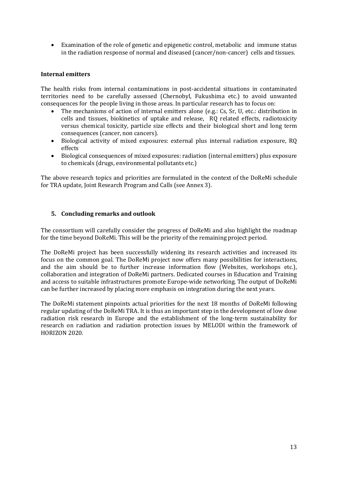• Examination of the role of genetic and epigenetic control, metabolic and immune status in the radiation response of normal and diseased (cancer/non-cancer) cells and tissues.

#### **Internal emitters**

The health risks from internal contaminations in post-accidental situations in contaminated territories need to be carefully assessed (Chernobyl, Fukushima etc.) to avoid unwanted consequences for the people living in those areas. In particular research has to focus on:

- The mechanisms of action of internal emitters alone (e.g.: Cs, Sr, U, etc.: distribution in cells and tissues, biokinetics of uptake and release, RQ related effects, radiotoxicity versus chemical toxicity, particle size effects and their biological short and long term consequences (cancer, non cancers).
- Biological activity of mixed exposures: external plus internal radiation exposure, RQ effects
- Biological consequences of mixed exposures: radiation (internal emitters) plus exposure to chemicals (drugs, environmental pollutants etc.)

The above research topics and priorities are formulated in the context of the DoReMi schedule for TRA update, Joint Research Program and Calls (see Annex 3).

#### <span id="page-12-0"></span>**5. Concluding remarks and outlook**

The consortium will carefully consider the progress of DoReMi and also highlight the roadmap for the time beyond DoReMi. This will be the priority of the remaining project period.

The DoReMi project has been successfully widening its research activities and increased its focus on the common goal. The DoReMi project now offers many possibilities for interactions, and the aim should be to further increase information flow (Websites, workshops etc.), collaboration and integration of DoReMi partners. Dedicated courses in Education and Training and access to suitable infrastructures promote Europe-wide networking. The output of DoReMi can be further increased by placing more emphasis on integration during the next years.

The DoReMi statement pinpoints actual priorities for the next 18 months of DoReMi following regular updating of the DoReMi TRA. It is thus an important step in the development of low dose radiation risk research in Europe and the establishment of the long-term sustainability for research on radiation and radiation protection issues by MELODI within the framework of HORIZON 2020.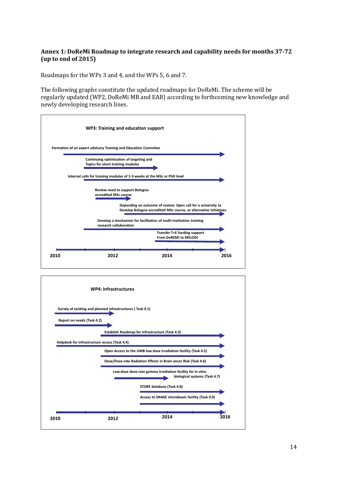#### <span id="page-13-0"></span>**Annex 1: DoReMi Roadmap to integrate research and capability needs for months 37-72 (up to end of 2015)**

Roadmaps for the WPs 3 and 4, and the WPs 5, 6 and 7.

The following graphs constitute the updated roadmaps for DoReMi. The scheme will be regularly updated (WP2, DoReMi MB and EAB) according to forthcoming new knowledge and newly developing research lines.



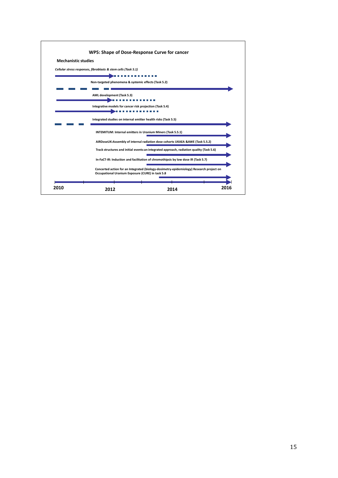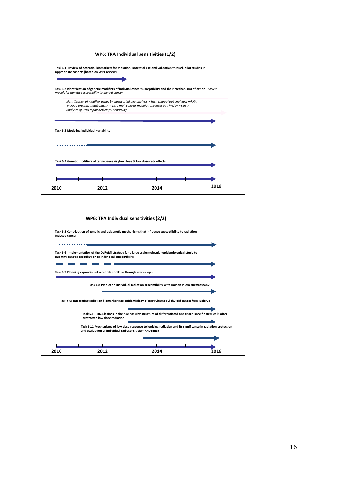| models for genetic susceptibility to thyroid cancer | Task 6.2 Identification of genetic modifiers of indivual cancer susceptibility and their mechanisms of action - Mouse                                                                               |
|-----------------------------------------------------|-----------------------------------------------------------------------------------------------------------------------------------------------------------------------------------------------------|
| -Analyses of DNA repair defects/IR sensitivity      | -Identification of modifier genes by classical linkage analysis / High throughput analyses: mRNA,<br>- miRNA, protein, metabolites / In vitro multicellular models: responses at 4 hrs/24-48hrs / - |
|                                                     |                                                                                                                                                                                                     |
| Task 6.3 Modeling individual variability            |                                                                                                                                                                                                     |
|                                                     |                                                                                                                                                                                                     |
|                                                     |                                                                                                                                                                                                     |

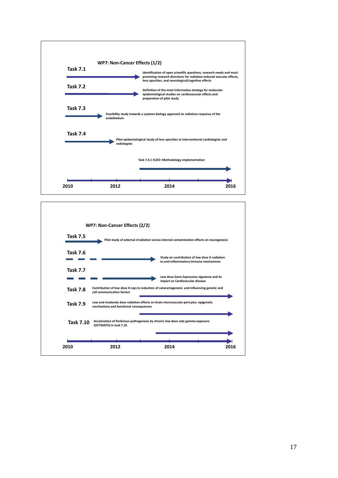

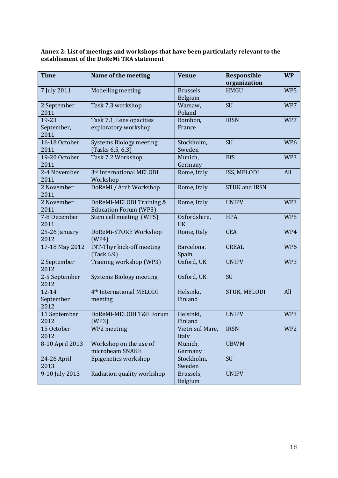#### <span id="page-17-0"></span>**Annex 2: List of meetings and workshops that have been particularly relevant to the establisment of the DoReMi TRA statement**

| <b>Time</b>                    | Name of the meeting                                      | <b>Venue</b>              | <b>Responsible</b><br>organization | <b>WP</b>       |
|--------------------------------|----------------------------------------------------------|---------------------------|------------------------------------|-----------------|
| 7 July 2011                    | Modelling meeting                                        | Brussels,<br>Belgium      | <b>HMGU</b>                        | WP5             |
| 2 September<br>2011            | Task 7.3 workshop                                        | Warsaw,<br>Poland         | <b>SU</b>                          | WP7             |
| 19-23<br>September,<br>2011    | Task 7.1, Lens opacities<br>exploratory workshop         | Bombon,<br>France         | <b>IRSN</b>                        | WP7             |
| 16-18 October<br>2011          | <b>Systems Biology meeting</b><br>(Tasks 6.5, 6.3)       | Stockholm,<br>Sweden      | SU                                 | WP <sub>6</sub> |
| 19-20 October<br>2011          | Task 7.2 Workshop                                        | Munich,<br>Germany        | <b>BfS</b>                         | WP3             |
| 2-4 November<br>2011           | 3rd International MELODI<br>Workshop                     | Rome, Italy               | ISS, MELODI                        | All             |
| 2 November<br>2011             | DoReMi / Arch Workshop                                   | Rome, Italy               | <b>STUK and IRSN</b>               |                 |
| 2 November<br>2011             | DoReMi-MELODI Training &<br><b>Education Forum (WP3)</b> | Rome, Italy               | <b>UNIPV</b>                       | WP3             |
| 7-8 December<br>2011           | Stem cell meeting (WP5)                                  | Oxfordshire,<br><b>UK</b> | <b>HPA</b>                         | WP5             |
| 25-26 January<br>2012          | DoReMi-STORE Workshop<br>(WP4)                           | Rome, Italy               | <b>CEA</b>                         | WP4             |
| 17-18 May 2012                 | <b>INT-Thyr kick-off meeting</b><br>(Task 6.9)           | Barcelona,<br>Spain       | <b>CREAL</b>                       | WP <sub>6</sub> |
| 2 September<br>2012            | Training workshop (WP3)                                  | Oxford, UK                | <b>UNIPV</b>                       | WP3             |
| 2-5 September<br>2012          | <b>Systems Biology meeting</b>                           | Oxford, UK                | <b>SU</b>                          |                 |
| $12 - 14$<br>September<br>2012 | 4 <sup>th</sup> International MELODI<br>meeting          | Helsinki,<br>Finland      | STUK, MELODI                       | All             |
| 11 September<br>2012           | DoReMi-MELODI T&E Forum<br>(WP3)                         | Helsinki,<br>Finland      | <b>UNIPV</b>                       | WP3             |
| 15 October<br>2012             | WP2 meeting                                              | Vietri sul Mare,<br>Italy | <b>IRSN</b>                        | WP <sub>2</sub> |
| 8-10 April 2013                | Workshop on the use of<br>microbeam SNAKE                | Munich,<br>Germany        | <b>UBWM</b>                        |                 |
| 24-26 April<br>2013            | Epigenetics workshop                                     | Stockholm,<br>Sweden      | SU                                 |                 |
| 9-10 July 2013                 | Radiation quality workshop                               | Brussels,<br>Belgium      | <b>UNIPV</b>                       |                 |